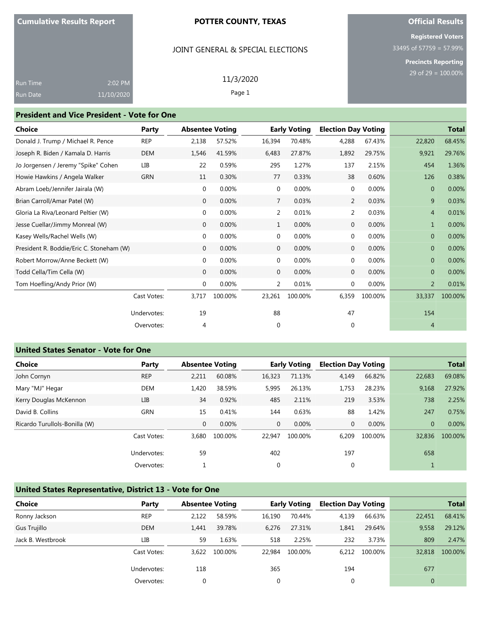## JOINT GENERAL & SPECIAL ELECTIONS

# **Official Results**

**Registered Voters** 33495 of 57759 = 57.99%

**Precincts Reporting**

| <b>Run Time</b> | 2:02 PM    | 11/3/2020 |  |
|-----------------|------------|-----------|--|
| <b>Run Date</b> | 11/10/2020 | Page 1    |  |

#### **President and Vice President - Vote for One**

| <b>Choice</b>                            | Party       |              | <b>Absentee Voting</b> |                | <b>Early Voting</b> | <b>Election Day Voting</b> |         |                | <b>Total</b> |
|------------------------------------------|-------------|--------------|------------------------|----------------|---------------------|----------------------------|---------|----------------|--------------|
| Donald J. Trump / Michael R. Pence       | REP         | 2,138        | 57.52%                 | 16,394         | 70.48%              | 4,288                      | 67.43%  | 22,820         | 68.45%       |
| Joseph R. Biden / Kamala D. Harris       | DEM         | 1,546        | 41.59%                 | 6,483          | 27.87%              | 1,892                      | 29.75%  | 9,921          | 29.76%       |
| Jo Jorgensen / Jeremy "Spike" Cohen      | LІВ         | 22           | 0.59%                  | 295            | 1.27%               | 137                        | 2.15%   | 454            | 1.36%        |
| Howie Hawkins / Angela Walker            | <b>GRN</b>  | 11           | 0.30%                  | 77             | 0.33%               | 38                         | 0.60%   | 126            | 0.38%        |
| Abram Loeb/Jennifer Jairala (W)          |             | $\mathbf 0$  | 0.00%                  | 0              | 0.00%               | $\mathbf{0}$               | 0.00%   | $\overline{0}$ | 0.00%        |
| Brian Carroll/Amar Patel (W)             |             | $\mathbf{0}$ | 0.00%                  | $\overline{7}$ | 0.03%               | $\overline{2}$             | 0.03%   | 9              | 0.03%        |
| Gloria La Riva/Leonard Peltier (W)       |             | $\mathbf 0$  | 0.00%                  | $\overline{2}$ | 0.01%               | $\overline{2}$             | 0.03%   | $\overline{4}$ | 0.01%        |
| Jesse Cuellar/Jimmy Monreal (W)          |             | $\mathbf{0}$ | 0.00%                  | $\mathbf{1}$   | 0.00%               | $\mathbf{0}$               | 0.00%   | $\mathbf{1}$   | 0.00%        |
| Kasey Wells/Rachel Wells (W)             |             | $\mathbf 0$  | 0.00%                  | $\mathbf 0$    | 0.00%               | $\mathbf{0}$               | 0.00%   | $\overline{0}$ | 0.00%        |
| President R. Boddie/Eric C. Stoneham (W) |             | $\mathbf{0}$ | 0.00%                  | $\mathbf 0$    | 0.00%               | $\mathbf{0}$               | 0.00%   | $\overline{0}$ | 0.00%        |
| Robert Morrow/Anne Beckett (W)           |             | $\mathbf 0$  | 0.00%                  | 0              | 0.00%               | 0                          | 0.00%   | $\Omega$       | 0.00%        |
| Todd Cella/Tim Cella (W)                 |             | $\mathbf{0}$ | 0.00%                  | $\mathbf{0}$   | 0.00%               | 0                          | 0.00%   | $\overline{0}$ | 0.00%        |
| Tom Hoefling/Andy Prior (W)              |             | $\mathbf 0$  | 0.00%                  | $\overline{2}$ | 0.01%               | 0                          | 0.00%   | $\overline{2}$ | 0.01%        |
|                                          | Cast Votes: | 3,717        | 100.00%                | 23,261         | 100.00%             | 6,359                      | 100.00% | 33,337         | 100.00%      |
|                                          | Undervotes: | 19           |                        | 88             |                     | 47                         |         | 154            |              |
|                                          | Overvotes:  | 4            |                        | $\mathbf 0$    |                     | 0                          |         | $\overline{4}$ |              |

## **United States Senator - Vote for One**

| Choice                        | Party       | <b>Absentee Voting</b> |         |              | <b>Early Voting</b> |       | <b>Election Day Voting</b> |              | <b>Total</b> |
|-------------------------------|-------------|------------------------|---------|--------------|---------------------|-------|----------------------------|--------------|--------------|
| John Cornyn                   | <b>REP</b>  | 2.211                  | 60.08%  | 16,323       | 71.13%              | 4,149 | 66.82%                     | 22,683       | 69.08%       |
| Mary "MJ" Hegar               | <b>DEM</b>  | 1.420                  | 38.59%  | 5,995        | 26.13%              | 1,753 | 28.23%                     | 9,168        | 27.92%       |
| Kerry Douglas McKennon        | <b>LIB</b>  | 34                     | 0.92%   | 485          | 2.11%               | 219   | 3.53%                      | 738          | 2.25%        |
| David B. Collins              | <b>GRN</b>  | 15                     | 0.41%   | 144          | 0.63%               | 88    | 1.42%                      | 247          | 0.75%        |
| Ricardo Turullols-Bonilla (W) |             | $\mathbf{0}$           | 0.00%   | $\mathbf{0}$ | 0.00%               | 0     | 0.00%                      | $\mathbf{0}$ | 0.00%        |
|                               | Cast Votes: | 3.680                  | 100.00% | 22.947       | 100.00%             | 6,209 | 100.00%                    | 32,836       | 100.00%      |
|                               | Undervotes: | 59                     |         | 402          |                     | 197   |                            | 658          |              |
|                               | Overvotes:  |                        |         | 0            |                     | 0     |                            | 1            |              |

# **United States Representative, District 13 - Vote for One**

| <b>Choice</b>     | Party       |       | <b>Absentee Voting</b> |        | <b>Early Voting</b> |       | <b>Election Day Voting</b> |              | <b>Total</b> |
|-------------------|-------------|-------|------------------------|--------|---------------------|-------|----------------------------|--------------|--------------|
| Ronny Jackson     | <b>REP</b>  | 2.122 | 58.59%                 | 16.190 | 70.44%              | 4,139 | 66.63%                     | 22,451       | 68.41%       |
| Gus Trujillo      | <b>DEM</b>  | 1.441 | 39.78%                 | 6,276  | 27.31%              | 1,841 | 29.64%                     | 9,558        | 29.12%       |
| Jack B. Westbrook | LІВ         | 59    | 1.63%                  | 518    | 2.25%               | 232   | 3.73%                      | 809          | 2.47%        |
|                   | Cast Votes: | 3,622 | 100.00%                | 22.984 | 100.00%             | 6.212 | 100.00%                    | 32,818       | 100.00%      |
|                   | Undervotes: | 118   |                        | 365    |                     | 194   |                            | 677          |              |
|                   | Overvotes:  | 0     |                        | 0      |                     | 0     |                            | $\mathbf{0}$ |              |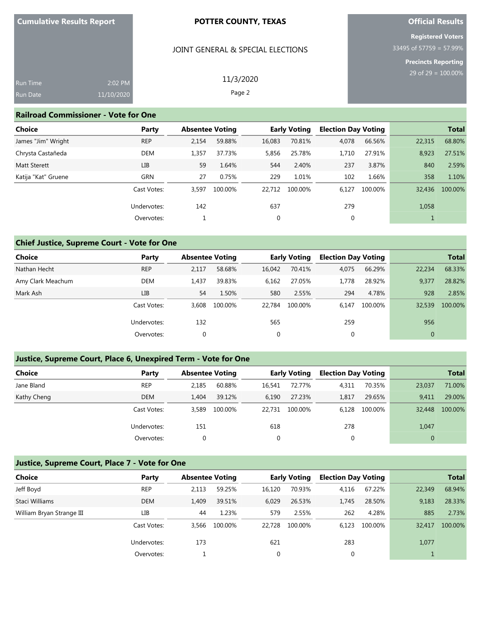## JOINT GENERAL & SPECIAL ELECTIONS

11/3/2020 Page 2

# **Official Results**

**Registered Voters** 33495 of 57759 = 57.99%

**Precincts Reporting**

| Run Time | 2:02 PM    |
|----------|------------|
| Run Date | 11/10/2020 |

#### **Railroad Commissioner - Vote for One**

| <b>Choice</b>       | Party       | <b>Absentee Voting</b> |         | <b>Early Voting</b> |         | <b>Election Day Voting</b> |         |        | <b>Total</b> |
|---------------------|-------------|------------------------|---------|---------------------|---------|----------------------------|---------|--------|--------------|
| James "Jim" Wright  | <b>REP</b>  | 2,154                  | 59.88%  | 16,083              | 70.81%  | 4,078                      | 66.56%  | 22,315 | 68.80%       |
| Chrysta Castañeda   | <b>DEM</b>  | 1,357                  | 37.73%  | 5,856               | 25.78%  | 1,710                      | 27.91%  | 8,923  | 27.51%       |
| <b>Matt Sterett</b> | LІВ         | 59                     | 1.64%   | 544                 | 2.40%   | 237                        | 3.87%   | 840    | 2.59%        |
| Katija "Kat" Gruene | <b>GRN</b>  | 27                     | 0.75%   | 229                 | 1.01%   | 102                        | 1.66%   | 358    | 1.10%        |
|                     | Cast Votes: | 3,597                  | 100.00% | 22,712              | 100.00% | 6,127                      | 100.00% | 32,436 | 100.00%      |
|                     | Undervotes: | 142                    |         | 637                 |         | 279                        |         | 1,058  |              |
|                     | Overvotes:  |                        |         | 0                   |         | $\mathbf 0$                |         |        |              |

## **Chief Justice, Supreme Court - Vote for One**

|             |                                                         | <b>Absentee Voting</b>        |                                      |                                  |                                                             |                                |                                                                    | <b>Total</b>                     |
|-------------|---------------------------------------------------------|-------------------------------|--------------------------------------|----------------------------------|-------------------------------------------------------------|--------------------------------|--------------------------------------------------------------------|----------------------------------|
|             |                                                         |                               |                                      |                                  |                                                             |                                |                                                                    | 68.33%                           |
|             |                                                         |                               |                                      |                                  |                                                             |                                |                                                                    | 28.82%                           |
|             |                                                         |                               |                                      |                                  |                                                             |                                |                                                                    | 2.85%                            |
|             |                                                         |                               |                                      |                                  |                                                             |                                |                                                                    |                                  |
|             |                                                         |                               |                                      |                                  |                                                             |                                |                                                                    | 100.00%                          |
| Undervotes: | 132                                                     |                               | 565                                  |                                  | 259                                                         |                                | 956                                                                |                                  |
| Overvotes:  | 0                                                       |                               | $\mathbf 0$                          |                                  | 0                                                           |                                | $\mathbf{0}$                                                       |                                  |
|             | Party<br><b>REP</b><br><b>DEM</b><br>LIB<br>Cast Votes: | 2.117<br>1.437<br>54<br>3.608 | 58.68%<br>39.83%<br>1.50%<br>100.00% | 16,042<br>6,162<br>580<br>22.784 | <b>Early Voting</b><br>70.41%<br>27.05%<br>2.55%<br>100.00% | 4,075<br>1.778<br>294<br>6.147 | <b>Election Day Voting</b><br>66.29%<br>28.92%<br>4.78%<br>100.00% | 22,234<br>9,377<br>928<br>32,539 |

## **Justice, Supreme Court, Place 6, Unexpired Term - Vote for One**

| <b>Choice</b> | Party       | <b>Absentee Voting</b> |         |        | <b>Early Voting</b> | <b>Election Day Voting</b> |         |          | <b>Total</b> |
|---------------|-------------|------------------------|---------|--------|---------------------|----------------------------|---------|----------|--------------|
| Jane Bland    | <b>REP</b>  | 2.185                  | 60.88%  | 16.541 | 72.77%              | 4,311                      | 70.35%  | 23,037   | 71.00%       |
| Kathy Cheng   | <b>DEM</b>  | 1.404                  | 39.12%  | 6.190  | 27.23%              | 1,817                      | 29.65%  | 9.411    | 29.00%       |
|               | Cast Votes: | 3.589                  | 100.00% | 22.731 | 100.00%             | 6.128                      | 100.00% | 32,448   | 100.00%      |
|               | Undervotes: | 151                    |         | 618    |                     | 278                        |         | 1,047    |              |
|               | Overvotes:  |                        |         | 0      |                     | 0                          |         | $\Omega$ |              |

## **Justice, Supreme Court, Place 7 - Vote for One**

| Choice                    | Party       |       | <b>Absentee Voting</b> |        | <b>Early Voting</b> |       | <b>Election Day Voting</b> |        | <b>Total</b> |
|---------------------------|-------------|-------|------------------------|--------|---------------------|-------|----------------------------|--------|--------------|
| Jeff Boyd                 | <b>REP</b>  | 2,113 | 59.25%                 | 16,120 | 70.93%              | 4,116 | 67.22%                     | 22,349 | 68.94%       |
| Staci Williams            | <b>DEM</b>  | 1.409 | 39.51%                 | 6,029  | 26.53%              | 1.745 | 28.50%                     | 9,183  | 28.33%       |
| William Bryan Strange III | LІВ         | 44    | 1.23%                  | 579    | 2.55%               | 262   | 4.28%                      | 885    | 2.73%        |
|                           | Cast Votes: | 3.566 | 100.00%                | 22.728 | 100.00%             | 6,123 | 100.00%                    | 32.417 | 100.00%      |
|                           | Undervotes: | 173   |                        | 621    |                     | 283   |                            | 1,077  |              |
|                           | Overvotes:  |       |                        | 0      |                     |       |                            |        |              |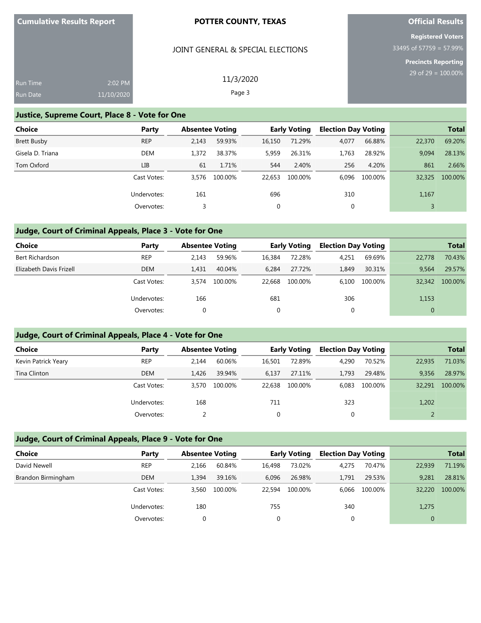| <b>Cumulative Results Report</b> |  |
|----------------------------------|--|
|----------------------------------|--|

## JOINT GENERAL & SPECIAL ELECTIONS

# **Official Results**

**Registered Voters** 33495 of 57759 = 57.99%

**Precincts Reporting**

| <b>Run Time</b> | 2:02 PM    | 11/3/2020 |
|-----------------|------------|-----------|
| <b>Run Date</b> | 11/10/2020 | Page 3    |

## **Justice, Supreme Court, Place 8 - Vote for One**

| <b>Choice</b>    | Party       |       | <b>Absentee Voting</b> |        | <b>Early Voting</b> |       | <b>Election Day Voting</b> |        | <b>Total</b> |
|------------------|-------------|-------|------------------------|--------|---------------------|-------|----------------------------|--------|--------------|
| Brett Busby      | <b>REP</b>  | 2.143 | 59.93%                 | 16,150 | 71.29%              | 4,077 | 66.88%                     | 22,370 | 69.20%       |
| Gisela D. Triana | <b>DEM</b>  | 1.372 | 38.37%                 | 5,959  | 26.31%              | 1.763 | 28.92%                     | 9.094  | 28.13%       |
| Tom Oxford       | LIB         | 61    | 1.71%                  | 544    | 2.40%               | 256   | 4.20%                      | 861    | 2.66%        |
|                  | Cast Votes: | 3.576 | 100.00%                | 22.653 | 100.00%             | 6.096 | 100.00%                    | 32,325 | 100.00%      |
|                  | Undervotes: | 161   |                        | 696    |                     | 310   |                            | 1,167  |              |
|                  | Overvotes:  | 3     |                        | 0      |                     | 0     |                            |        |              |

# **Judge, Court of Criminal Appeals, Place 3 - Vote for One**

| <b>Choice</b>           | Party       | <b>Absentee Voting</b> |         |        | <b>Early Voting</b> | <b>Election Day Voting</b> |         |        | <b>Total</b> |
|-------------------------|-------------|------------------------|---------|--------|---------------------|----------------------------|---------|--------|--------------|
| Bert Richardson         | <b>REP</b>  | 2.143                  | 59.96%  | 16.384 | 72.28%              | 4,251                      | 69.69%  | 22,778 | 70.43%       |
| Elizabeth Davis Frizell | <b>DEM</b>  | 1.431                  | 40.04%  | 6.284  | 27.72%              | 1,849                      | 30.31%  | 9.564  | 29.57%       |
|                         | Cast Votes: | 3.574                  | 100.00% | 22.668 | 100.00%             | 6.100                      | 100.00% | 32,342 | 100.00%      |
|                         | Undervotes: | 166                    |         | 681    |                     | 306                        |         | 1,153  |              |
|                         | Overvotes:  | 0                      |         | 0      |                     | υ                          |         |        |              |

## **Judge, Court of Criminal Appeals, Place 4 - Vote for One**

| Choice              | Party       |       | <b>Absentee Voting</b> |        | <b>Early Voting</b> |       | <b>Election Day Voting</b> |        | <b>Total</b> |
|---------------------|-------------|-------|------------------------|--------|---------------------|-------|----------------------------|--------|--------------|
| Kevin Patrick Yeary | <b>REP</b>  | 2.144 | 60.06%                 | 16,501 | 72.89%              | 4,290 | 70.52%                     | 22,935 | 71.03%       |
| Tina Clinton        | <b>DEM</b>  | 1.426 | 39.94%                 | 6,137  | 27.11%              | 1.793 | 29.48%                     | 9.356  | 28.97%       |
|                     | Cast Votes: | 3.570 | 100.00%                | 22.638 | 100.00%             | 6.083 | 100.00%                    | 32,291 | 100.00%      |
|                     | Undervotes: | 168   |                        | 711    |                     | 323   |                            | 1,202  |              |
|                     | Overvotes:  |       |                        | 0      |                     |       |                            |        |              |

## **Judge, Court of Criminal Appeals, Place 9 - Vote for One**

| <b>Choice</b>      | Party       | <b>Absentee Voting</b> |         |        | <b>Early Voting</b> | <b>Election Day Voting</b> |         |              | <b>Total</b> |
|--------------------|-------------|------------------------|---------|--------|---------------------|----------------------------|---------|--------------|--------------|
| David Newell       | <b>REP</b>  | 2.166                  | 60.84%  | 16.498 | 73.02%              | 4,275                      | 70.47%  | 22,939       | 71.19%       |
| Brandon Birmingham | <b>DEM</b>  | 1.394                  | 39.16%  | 6.096  | 26.98%              | 1.791                      | 29.53%  | 9,281        | 28.81%       |
|                    | Cast Votes: | 3.560                  | 100.00% | 22.594 | 100.00%             | 6.066                      | 100.00% | 32,220       | 100.00%      |
|                    | Undervotes: | 180                    |         | 755    |                     | 340                        |         | 1,275        |              |
|                    | Overvotes:  |                        |         | 0      |                     |                            |         | $\mathbf{0}$ |              |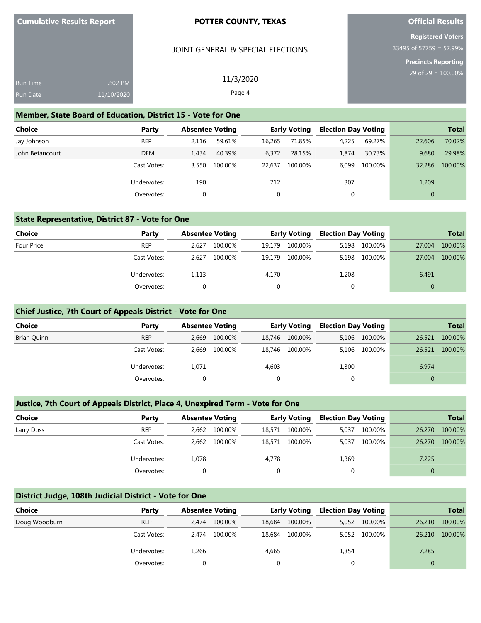#### JOINT GENERAL & SPECIAL ELECTIONS

**Official Results**

**Registered Voters** 33495 of 57759 = 57.99%

> **Precincts Reporting**  $0.00\%$

## **Member, State Board of Education, District 15 - Vote for One**

| <b>Choice</b>   | Party       | <b>Absentee Voting</b> |         | <b>Early Voting</b> |         | <b>Election Day Voting</b> |         |          | <b>Total</b> |
|-----------------|-------------|------------------------|---------|---------------------|---------|----------------------------|---------|----------|--------------|
| Jay Johnson     | <b>REP</b>  | 2.116                  | 59.61%  | 16.265              | 71.85%  | 4,225                      | 69.27%  | 22,606   | 70.02%       |
| John Betancourt | <b>DEM</b>  | 1.434                  | 40.39%  | 6,372               | 28.15%  | 1.874                      | 30.73%  | 9.680    | 29.98%       |
|                 | Cast Votes: | 3.550                  | 100.00% | 22.637              | 100.00% | 6.099                      | 100.00% | 32,286   | 100.00%      |
|                 | Undervotes: | 190                    |         | 712                 |         | 307                        |         | 1,209    |              |
|                 | Overvotes:  |                        |         |                     |         | 0                          |         | $\Omega$ |              |

#### **State Representative, District 87 - Vote for One**

| Choice     | Party       |       | <b>Absentee Voting</b> |        | <b>Early Voting</b> |       | <b>Election Day Voting</b> |          | <b>Total</b> |
|------------|-------------|-------|------------------------|--------|---------------------|-------|----------------------------|----------|--------------|
| Four Price | <b>REP</b>  | 2.627 | 100.00%                | 19.179 | 100.00%             |       | 5,198 100.00%              | 27,004   | 100.00%      |
|            | Cast Votes: | 2.627 | 100.00%                | 19,179 | 100.00%             |       | 5,198 100.00%              | 27,004   | 100.00%      |
|            | Undervotes: | 1,113 |                        | 4,170  |                     | 1,208 |                            | 6,491    |              |
|            | Overvotes:  |       |                        | 0      |                     |       |                            | $\Omega$ |              |

#### **Chief Justice, 7th Court of Appeals District - Vote for One**

| <b>Choice</b> | Party       | <b>Absentee Voting</b> |         | <b>Early Voting</b> |         | <b>Election Day Voting</b> |               |        | <b>Total</b> |
|---------------|-------------|------------------------|---------|---------------------|---------|----------------------------|---------------|--------|--------------|
| Brian Quinn   | <b>REP</b>  | 2.669                  | 100.00% | 18,746              | 100.00% |                            | 5,106 100.00% | 26,521 | 100.00%      |
|               | Cast Votes: | 2.669                  | 100.00% | 18.746              | 100.00% |                            | 5,106 100.00% | 26,521 | 100.00%      |
|               | Undervotes: | 1.071                  |         | 4,603               |         | 1,300                      |               | 6,974  |              |
|               | Overvotes:  |                        |         |                     |         |                            |               | 0      |              |

### **Justice, 7th Court of Appeals District, Place 4, Unexpired Term - Vote for One**

| <b>Choice</b> | Party       |       | <b>Absentee Voting</b> |        | <b>Early Voting</b> |       | <b>Election Day Voting</b> |          | <b>Total</b> |
|---------------|-------------|-------|------------------------|--------|---------------------|-------|----------------------------|----------|--------------|
| Larry Doss    | <b>REP</b>  | 2.662 | 100.00%                | 18,571 | 100.00%             | 5.037 | 100.00%                    | 26,270   | 100.00%      |
|               | Cast Votes: | 2.662 | 100.00%                | 18,571 | 100.00%             | 5,037 | 100.00%                    | 26,270   | 100.00%      |
|               | Undervotes: | 1,078 |                        | 4,778  |                     | 1,369 |                            | 7,225    |              |
|               | Overvotes:  |       |                        |        |                     |       |                            | $\Omega$ |              |

## **District Judge, 108th Judicial District - Vote for One**

| Choice        | Party       | <b>Absentee Voting</b> |         |        | <b>Early Voting</b> |       | <b>Election Day Voting</b> |        | <b>Total</b> |
|---------------|-------------|------------------------|---------|--------|---------------------|-------|----------------------------|--------|--------------|
| Doug Woodburn | <b>REP</b>  | 2.474                  | 100.00% | 18,684 | 100.00%             |       | 5,052 100.00%              | 26,210 | 100.00%      |
|               | Cast Votes: | 2.474                  | 100.00% | 18.684 | 100.00%             |       | 5,052 100.00%              | 26,210 | 100.00%      |
|               | Undervotes: | 1,266                  |         | 4,665  |                     | 1,354 |                            | 7,285  |              |
|               | Overvotes:  |                        |         |        |                     |       |                            | 0      |              |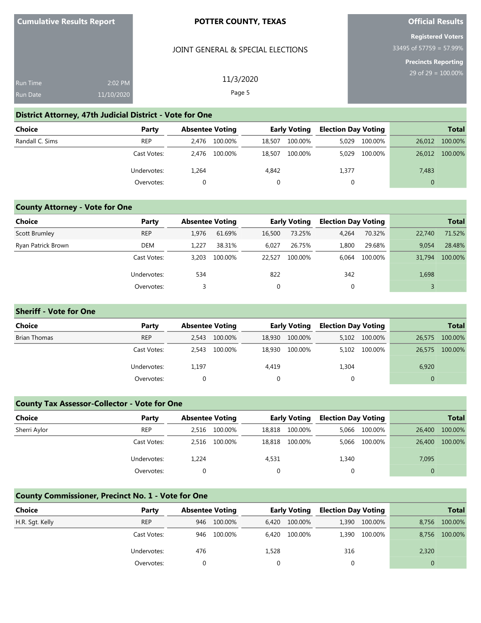#### JOINT GENERAL & SPECIAL ELECTIONS

11/3/2020 Page 5

## **Official Results**

**Registered Voters** 33495 of 57759 = 57.99%

**Precincts Reporting**

| <b>Run Time</b> | $2:02$ PM  |
|-----------------|------------|
| Run Date        | 11/10/2020 |

### **District Attorney, 47th Judicial District - Vote for One**

| <b>Choice</b>   | Party       | <b>Absentee Voting</b> |         | <b>Early Voting</b> |         | <b>Election Day Voting</b> |         |          | <b>Total</b> |
|-----------------|-------------|------------------------|---------|---------------------|---------|----------------------------|---------|----------|--------------|
| Randall C. Sims | <b>REP</b>  | 2.476                  | 100.00% | 18,507              | 100.00% | 5.029                      | 100.00% | 26,012   | 100.00%      |
|                 | Cast Votes: | 2.476                  | 100.00% | 18,507              | 100.00% | 5.029                      | 100.00% | 26,012   | 100.00%      |
|                 | Undervotes: | 1,264                  |         | 4,842               |         | 1,377                      |         | 7,483    |              |
|                 | Overvotes:  |                        |         |                     |         |                            |         | $\Omega$ |              |

## **County Attorney - Vote for One**

| <b>Choice</b>      | Party       | <b>Absentee Voting</b> |         |        | <b>Early Voting</b> | <b>Election Day Voting</b> |         |        | <b>Total</b> |
|--------------------|-------------|------------------------|---------|--------|---------------------|----------------------------|---------|--------|--------------|
| Scott Brumley      | <b>REP</b>  | 1.976                  | 61.69%  | 16,500 | 73.25%              | 4,264                      | 70.32%  | 22.740 | 71.52%       |
| Ryan Patrick Brown | <b>DEM</b>  | 1.227                  | 38.31%  | 6,027  | 26.75%              | 1,800                      | 29.68%  | 9.054  | 28.48%       |
|                    | Cast Votes: | 3.203                  | 100.00% | 22.527 | 100.00%             | 6.064                      | 100.00% | 31,794 | 100.00%      |
|                    | Undervotes: | 534                    |         | 822    |                     | 342                        |         | 1,698  |              |
|                    | Overvotes:  |                        |         | 0      |                     | 0                          |         |        |              |

## **Sheriff - Vote for One**

| <b>Choice</b> | Party       |       | <b>Absentee Voting</b> |        | <b>Early Voting</b> |       | <b>Election Day Voting</b> |          | <b>Total</b> |
|---------------|-------------|-------|------------------------|--------|---------------------|-------|----------------------------|----------|--------------|
| Brian Thomas  | <b>REP</b>  | 2.543 | 100.00%                | 18,930 | 100.00%             |       | 5,102 100.00%              | 26,575   | 100.00%      |
|               | Cast Votes: | 2.543 | 100.00%                | 18,930 | 100.00%             |       | 5,102 100.00%              | 26,575   | 100.00%      |
|               | Undervotes: | 1.197 |                        | 4,419  |                     | 1,304 |                            | 6,920    |              |
|               | Overvotes:  |       |                        |        |                     |       |                            | $\Omega$ |              |

### **County Tax Assessor-Collector - Vote for One**

| <b>Choice</b> | Party       |       | <b>Absentee Voting</b> |        | <b>Early Voting</b> |       | <b>Election Day Voting</b> |        | <b>Total</b> |
|---------------|-------------|-------|------------------------|--------|---------------------|-------|----------------------------|--------|--------------|
| Sherri Aylor  | <b>REP</b>  | 2.516 | 100.00%                | 18,818 | 100.00%             |       | 5,066 100.00%              | 26,400 | 100.00%      |
|               | Cast Votes: | 2.516 | 100.00%                | 18,818 | 100.00%             |       | 5,066 100.00%              | 26,400 | 100.00%      |
|               | Undervotes: | 1.224 |                        | 4,531  |                     | 1,340 |                            | 7,095  |              |
|               | Overvotes:  |       |                        |        |                     |       |                            |        |              |

## **County Commissioner, Precinct No. 1 - Vote for One**

| <b>Choice</b>   | Party       |     | <b>Absentee Voting</b> |       | <b>Early Voting</b> |     | <b>Election Day Voting</b> |       | <b>Total</b> |
|-----------------|-------------|-----|------------------------|-------|---------------------|-----|----------------------------|-------|--------------|
| H.R. Sgt. Kelly | <b>REP</b>  | 946 | 100.00%                | 6.420 | 100.00%             |     | 1,390 100.00%              | 8.756 | 100.00%      |
|                 | Cast Votes: | 946 | 100.00%                | 6.420 | 100.00%             |     | 1,390 100.00%              | 8,756 | 100.00%      |
|                 | Undervotes: | 476 |                        | 1,528 |                     | 316 |                            | 2,320 |              |
|                 | Overvotes:  |     |                        |       |                     |     |                            |       |              |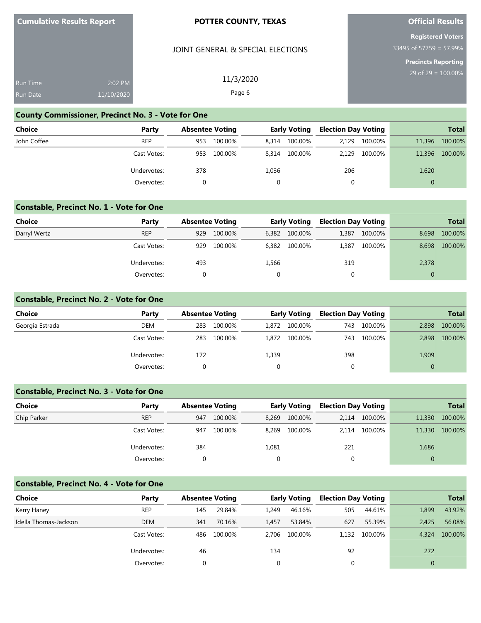## JOINT GENERAL & SPECIAL ELECTIONS

11/3/2020 Page 6

## **Official Results**

**Registered Voters** 33495 of 57759 = 57.99%

**Precincts Reporting**

| <b>Run Time</b> | $2:02$ PM  |
|-----------------|------------|
| <b>Run Date</b> | 11/10/2020 |

### **County Commissioner, Precinct No. 3 - Vote for One**

| Choice      | Party       | <b>Absentee Voting</b> |         | <b>Early Voting</b> |         | <b>Election Day Voting</b> |         |          | <b>Total</b> |
|-------------|-------------|------------------------|---------|---------------------|---------|----------------------------|---------|----------|--------------|
| John Coffee | <b>REP</b>  | 953                    | 100.00% | 8.314               | 100.00% | 2.129                      | 100.00% | 11,396   | 100.00%      |
|             | Cast Votes: | 953                    | 100.00% | 8.314               | 100.00% | 2.129                      | 100.00% | 11,396   | 100.00%      |
|             | Undervotes: | 378                    |         | 1,036               |         | 206                        |         | 1,620    |              |
|             | Overvotes:  |                        |         |                     |         | 0                          |         | $\Omega$ |              |

#### **Constable, Precinct No. 1 - Vote for One**

| <b>Choice</b> | Party       | <b>Absentee Voting</b> |         | <b>Early Voting</b> |         | <b>Election Day Voting</b> |         |          | <b>Total</b> |
|---------------|-------------|------------------------|---------|---------------------|---------|----------------------------|---------|----------|--------------|
| Darryl Wertz  | <b>REP</b>  | 929                    | 100.00% | 6,382               | 100.00% | 1,387                      | 100.00% | 8.698    | 100.00%      |
|               | Cast Votes: | 929                    | 100.00% | 6.382               | 100.00% | 1,387                      | 100.00% | 8.698    | 100.00%      |
|               | Undervotes: | 493                    |         | 1,566               |         | 319                        |         | 2,378    |              |
|               | Overvotes:  |                        |         |                     |         |                            |         | $\Omega$ |              |

## **Constable, Precinct No. 2 - Vote for One**

| <b>Choice</b>   | Party       | <b>Absentee Voting</b> |         |       | <b>Early Voting</b> |     | <b>Election Day Voting</b> |          | <b>Total</b> |
|-----------------|-------------|------------------------|---------|-------|---------------------|-----|----------------------------|----------|--------------|
| Georgia Estrada | <b>DEM</b>  | 283                    | 100.00% | 1.872 | 100.00%             | 743 | 100.00%                    | 2.898    | 100.00%      |
|                 | Cast Votes: | 283                    | 100.00% | 1,872 | 100.00%             | 743 | 100.00%                    | 2,898    | 100.00%      |
|                 | Undervotes: | 172                    |         | 1,339 |                     | 398 |                            | 1,909    |              |
|                 | Overvotes:  |                        |         |       |                     | 0   |                            | $\Omega$ |              |

## **Constable, Precinct No. 3 - Vote for One**

| <b>Choice</b> | Party       |     | <b>Absentee Voting</b> |       | <b>Early Voting</b> |       | <b>Election Day Voting</b> | <b>Total</b> |         |
|---------------|-------------|-----|------------------------|-------|---------------------|-------|----------------------------|--------------|---------|
| Chip Parker   | <b>REP</b>  | 947 | 100.00%                | 8,269 | 100.00%             | 2.114 | 100.00%                    | 11,330       | 100.00% |
|               | Cast Votes: | 947 | 100.00%                | 8,269 | 100.00%             | 2.114 | 100.00%                    | 11,330       | 100.00% |
|               | Undervotes: | 384 |                        | 1,081 |                     | 221   |                            | 1,686        |         |
|               | Overvotes:  |     |                        |       |                     |       |                            |              |         |

# **Constable, Precinct No. 4 - Vote for One**

| <b>Choice</b>         | Party       |     | <b>Absentee Voting</b> |          | <b>Early Voting</b> | <b>Election Day Voting</b> |         |       | <b>Total</b> |
|-----------------------|-------------|-----|------------------------|----------|---------------------|----------------------------|---------|-------|--------------|
| Kerry Haney           | <b>REP</b>  | 145 | 29.84%                 | 1.249    | 46.16%              | 505                        | 44.61%  | 1,899 | 43.92%       |
| Idella Thomas-Jackson | <b>DEM</b>  | 341 | 70.16%                 | 1.457    | 53.84%              | 627                        | 55.39%  | 2.425 | 56.08%       |
|                       | Cast Votes: | 486 | 100.00%                | 2.706    | 100.00%             | 1.132                      | 100.00% | 4,324 | 100.00%      |
|                       | Undervotes: | 46  |                        | 134      |                     | 92                         |         | 272   |              |
|                       | Overvotes:  |     |                        | $\Omega$ |                     |                            |         |       |              |